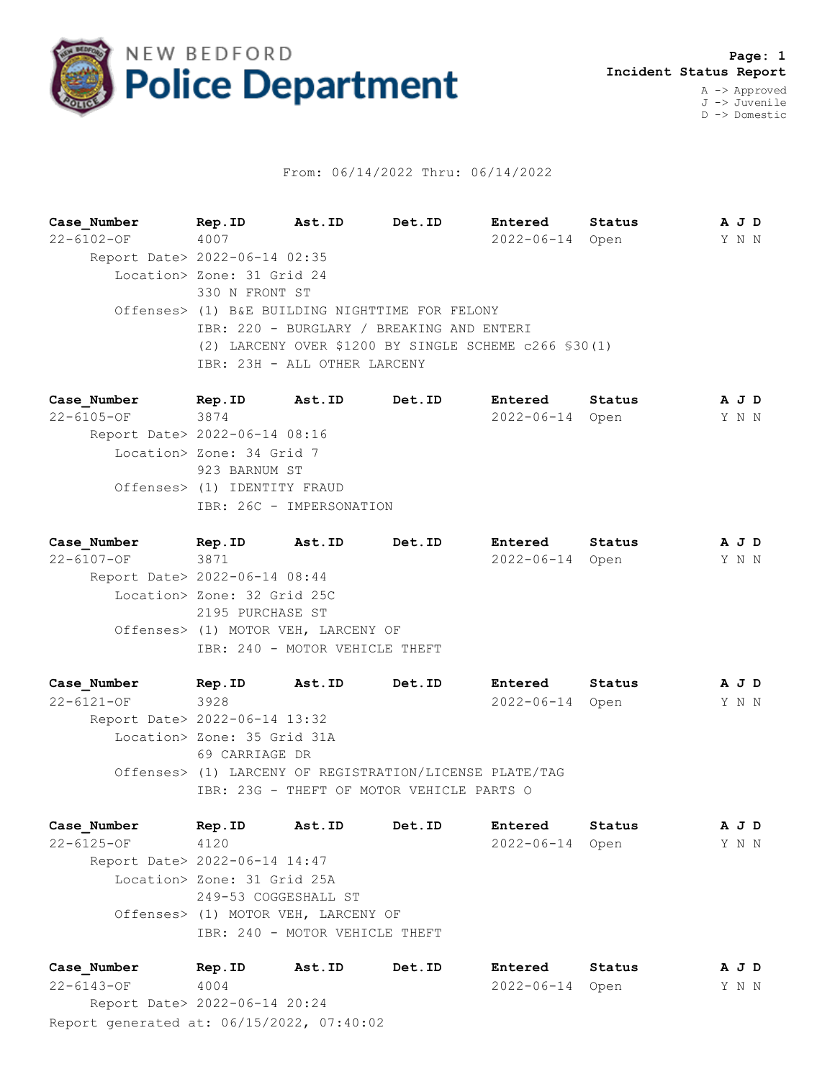

## From: 06/14/2022 Thru: 06/14/2022

**Case\_Number Rep.ID Ast.ID Det.ID Entered Status A J D** 22-6102-OF 4007 2022-06-14 Open Y N N Report Date> 2022-06-14 02:35 Location> Zone: 31 Grid 24 330 N FRONT ST Offenses> (1) B&E BUILDING NIGHTTIME FOR FELONY IBR: 220 - BURGLARY / BREAKING AND ENTERI (2) LARCENY OVER \$1200 BY SINGLE SCHEME c266 §30(1) IBR: 23H - ALL OTHER LARCENY

**Case\_Number Rep.ID Ast.ID Det.ID Entered Status A J D** 22-6105-OF 3874 2022-06-14 Open Y N N Report Date> 2022-06-14 08:16 Location> Zone: 34 Grid 7 923 BARNUM ST Offenses> (1) IDENTITY FRAUD IBR: 26C - IMPERSONATION

**Case\_Number Rep.ID Ast.ID Det.ID Entered Status A J D** 22-6107-OF 3871 2022-06-14 Open Y N N Report Date> 2022-06-14 08:44 Location> Zone: 32 Grid 25C 2195 PURCHASE ST Offenses> (1) MOTOR VEH, LARCENY OF IBR: 240 - MOTOR VEHICLE THEFT

**Case\_Number Rep.ID Ast.ID Det.ID Entered Status A J D** 22-6121-OF 3928 2022-06-14 Open Y N N Report Date> 2022-06-14 13:32 Location> Zone: 35 Grid 31A 69 CARRIAGE DR Offenses> (1) LARCENY OF REGISTRATION/LICENSE PLATE/TAG IBR: 23G - THEFT OF MOTOR VEHICLE PARTS O

**Case\_Number Rep.ID Ast.ID Det.ID Entered Status A J D** 22-6125-OF 4120 2022-06-14 Open Y N N Report Date> 2022-06-14 14:47 Location> Zone: 31 Grid 25A 249-53 COGGESHALL ST Offenses> (1) MOTOR VEH, LARCENY OF IBR: 240 - MOTOR VEHICLE THEFT

Report generated at: 06/15/2022, 07:40:02 **Case\_Number Rep.ID Ast.ID Det.ID Entered Status A J D** 22-6143-OF 4004 2022-06-14 Open Y N N Report Date> 2022-06-14 20:24